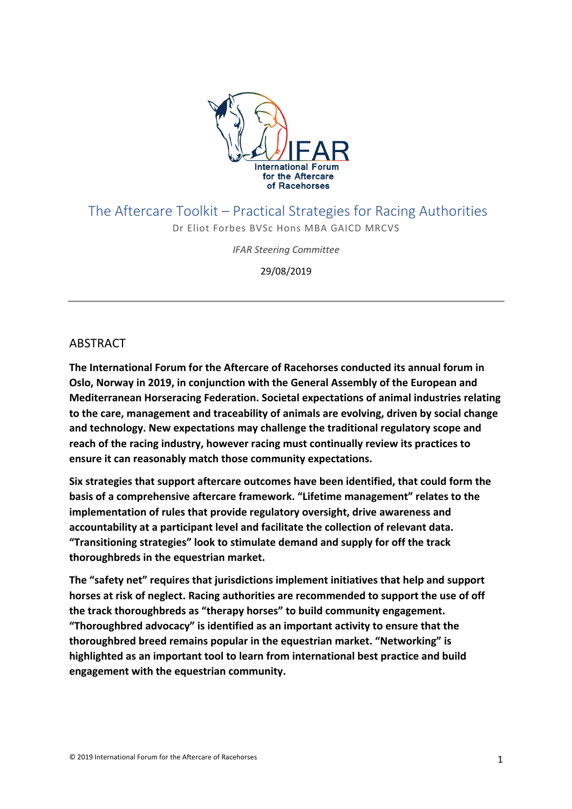

### The Aftercare Toolkit – Practical Strategies for Racing Authorities

Dr Eliot Forbes BVSc Hons MBA GAICD MRCVS

*IFAR Steering Committee*

29/08/2019

### ABSTRACT

**The International Forum for the Aftercare of Racehorses conducted its annual forum in Oslo, Norway in 2019, in conjunction with the General Assembly of the European and Mediterranean Horseracing Federation. Societal expectations of animal industries relating to the care, management and traceability of animals are evolving, driven by social change and technology. New expectations may challenge the traditional regulatory scope and reach of the racing industry, however racing must continually review its practices to ensure it can reasonably match those community expectations.**

**Six strategies that support aftercare outcomes have been identified, that could form the basis of a comprehensive aftercare framework. "Lifetime management" relates to the implementation of rules that provide regulatory oversight, drive awareness and accountability at a participant level and facilitate the collection of relevant data. "Transitioning strategies" look to stimulate demand and supply for off the track thoroughbreds in the equestrian market.** 

**The "safety net" requires that jurisdictions implement initiatives that help and support horses at risk of neglect. Racing authorities are recommended to support the use of off the track thoroughbreds as "therapy horses" to build community engagement. "Thoroughbred advocacy" is identified as an important activity to ensure that the thoroughbred breed remains popular in the equestrian market. "Networking" is highlighted as an important tool to learn from international best practice and build engagement with the equestrian community.**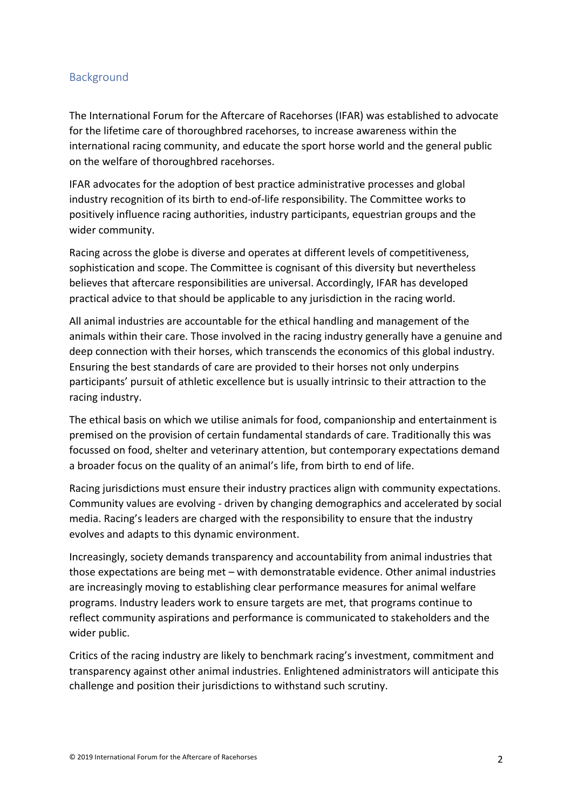#### Background

The International Forum for the Aftercare of Racehorses (IFAR) was established to advocate for the lifetime care of thoroughbred racehorses, to increase awareness within the international racing community, and educate the sport horse world and the general public on the welfare of thoroughbred racehorses.

IFAR advocates for the adoption of best practice administrative processes and global industry recognition of its birth to end-of-life responsibility. The Committee works to positively influence racing authorities, industry participants, equestrian groups and the wider community.

Racing across the globe is diverse and operates at different levels of competitiveness, sophistication and scope. The Committee is cognisant of this diversity but nevertheless believes that aftercare responsibilities are universal. Accordingly, IFAR has developed practical advice to that should be applicable to any jurisdiction in the racing world.

All animal industries are accountable for the ethical handling and management of the animals within their care. Those involved in the racing industry generally have a genuine and deep connection with their horses, which transcends the economics of this global industry. Ensuring the best standards of care are provided to their horses not only underpins participants' pursuit of athletic excellence but is usually intrinsic to their attraction to the racing industry.

The ethical basis on which we utilise animals for food, companionship and entertainment is premised on the provision of certain fundamental standards of care. Traditionally this was focussed on food, shelter and veterinary attention, but contemporary expectations demand a broader focus on the quality of an animal's life, from birth to end of life.

Racing jurisdictions must ensure their industry practices align with community expectations. Community values are evolving - driven by changing demographics and accelerated by social media. Racing's leaders are charged with the responsibility to ensure that the industry evolves and adapts to this dynamic environment.

Increasingly, society demands transparency and accountability from animal industries that those expectations are being met – with demonstratable evidence. Other animal industries are increasingly moving to establishing clear performance measures for animal welfare programs. Industry leaders work to ensure targets are met, that programs continue to reflect community aspirations and performance is communicated to stakeholders and the wider public.

Critics of the racing industry are likely to benchmark racing's investment, commitment and transparency against other animal industries. Enlightened administrators will anticipate this challenge and position their jurisdictions to withstand such scrutiny.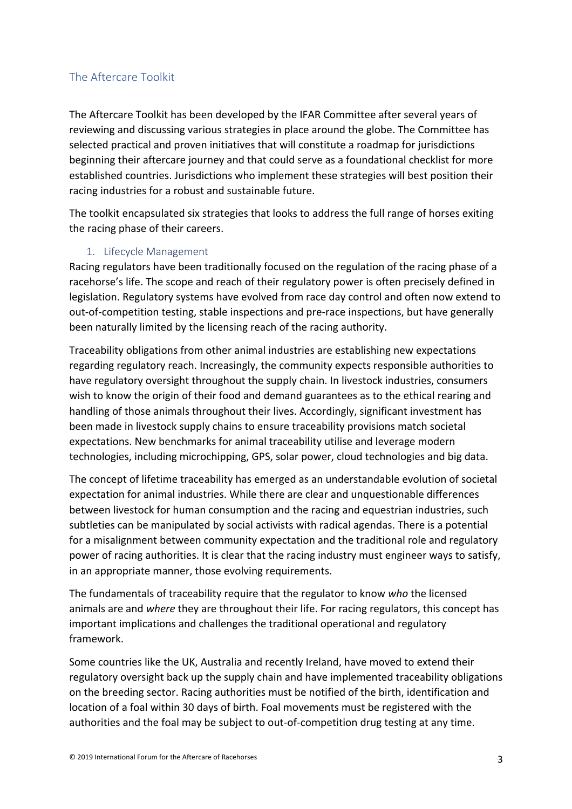#### The Aftercare Toolkit

The Aftercare Toolkit has been developed by the IFAR Committee after several years of reviewing and discussing various strategies in place around the globe. The Committee has selected practical and proven initiatives that will constitute a roadmap for jurisdictions beginning their aftercare journey and that could serve as a foundational checklist for more established countries. Jurisdictions who implement these strategies will best position their racing industries for a robust and sustainable future.

The toolkit encapsulated six strategies that looks to address the full range of horses exiting the racing phase of their careers.

#### 1. Lifecycle Management

Racing regulators have been traditionally focused on the regulation of the racing phase of a racehorse's life. The scope and reach of their regulatory power is often precisely defined in legislation. Regulatory systems have evolved from race day control and often now extend to out-of-competition testing, stable inspections and pre-race inspections, but have generally been naturally limited by the licensing reach of the racing authority.

Traceability obligations from other animal industries are establishing new expectations regarding regulatory reach. Increasingly, the community expects responsible authorities to have regulatory oversight throughout the supply chain. In livestock industries, consumers wish to know the origin of their food and demand guarantees as to the ethical rearing and handling of those animals throughout their lives. Accordingly, significant investment has been made in livestock supply chains to ensure traceability provisions match societal expectations. New benchmarks for animal traceability utilise and leverage modern technologies, including microchipping, GPS, solar power, cloud technologies and big data.

The concept of lifetime traceability has emerged as an understandable evolution of societal expectation for animal industries. While there are clear and unquestionable differences between livestock for human consumption and the racing and equestrian industries, such subtleties can be manipulated by social activists with radical agendas. There is a potential for a misalignment between community expectation and the traditional role and regulatory power of racing authorities. It is clear that the racing industry must engineer ways to satisfy, in an appropriate manner, those evolving requirements.

The fundamentals of traceability require that the regulator to know *who* the licensed animals are and *where* they are throughout their life. For racing regulators, this concept has important implications and challenges the traditional operational and regulatory framework.

Some countries like the UK, Australia and recently Ireland, have moved to extend their regulatory oversight back up the supply chain and have implemented traceability obligations on the breeding sector. Racing authorities must be notified of the birth, identification and location of a foal within 30 days of birth. Foal movements must be registered with the authorities and the foal may be subject to out-of-competition drug testing at any time.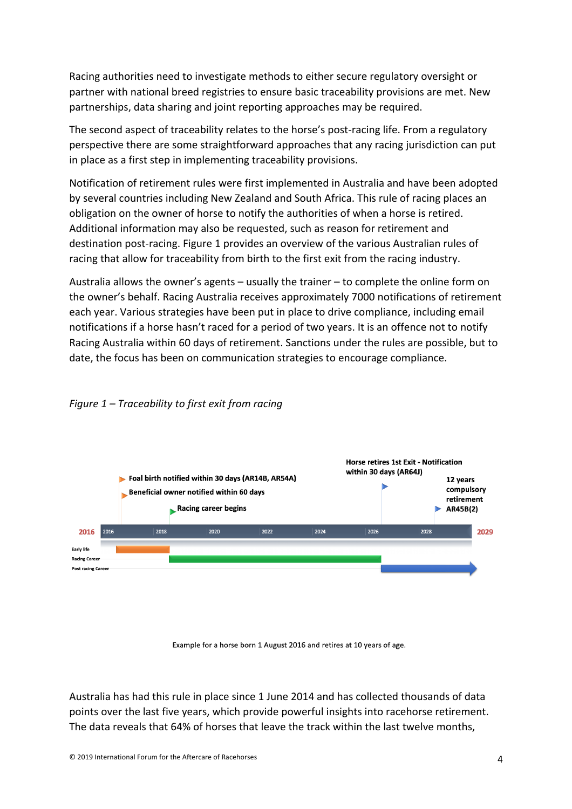Racing authorities need to investigate methods to either secure regulatory oversight or partner with national breed registries to ensure basic traceability provisions are met. New partnerships, data sharing and joint reporting approaches may be required.

The second aspect of traceability relates to the horse's post-racing life. From a regulatory perspective there are some straightforward approaches that any racing jurisdiction can put in place as a first step in implementing traceability provisions.

Notification of retirement rules were first implemented in Australia and have been adopted by several countries including New Zealand and South Africa. This rule of racing places an obligation on the owner of horse to notify the authorities of when a horse is retired. Additional information may also be requested, such as reason for retirement and destination post-racing. Figure 1 provides an overview of the various Australian rules of racing that allow for traceability from birth to the first exit from the racing industry.

Australia allows the owner's agents – usually the trainer – to complete the online form on the owner's behalf. Racing Australia receives approximately 7000 notifications of retirement each year. Various strategies have been put in place to drive compliance, including email notifications if a horse hasn't raced for a period of two years. It is an offence not to notify Racing Australia within 60 days of retirement. Sanctions under the rules are possible, but to date, the focus has been on communication strategies to encourage compliance.



#### *Figure 1 – Traceability to first exit from racing*

#### Example for a horse born 1 August 2016 and retires at 10 years of age.

Australia has had this rule in place since 1 June 2014 and has collected thousands of data points over the last five years, which provide powerful insights into racehorse retirement. The data reveals that 64% of horses that leave the track within the last twelve months,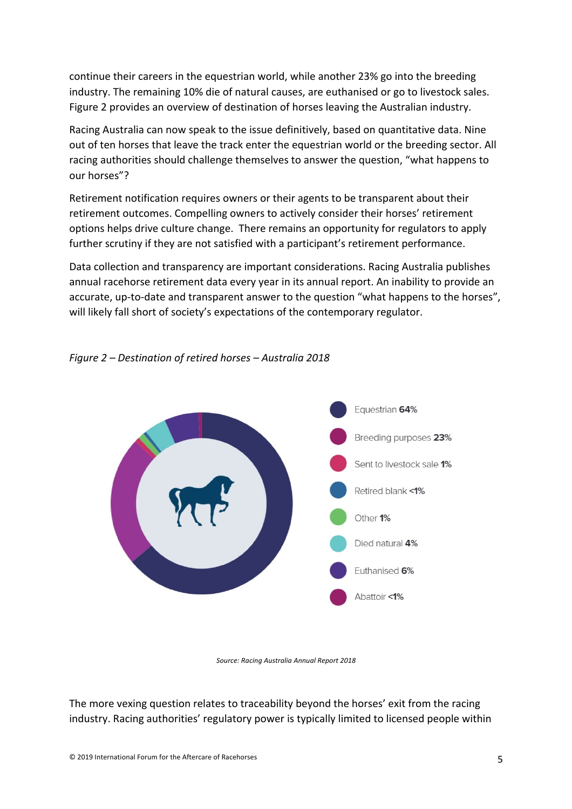continue their careers in the equestrian world, while another 23% go into the breeding industry. The remaining 10% die of natural causes, are euthanised or go to livestock sales. Figure 2 provides an overview of destination of horses leaving the Australian industry.

Racing Australia can now speak to the issue definitively, based on quantitative data. Nine out of ten horses that leave the track enter the equestrian world or the breeding sector. All racing authorities should challenge themselves to answer the question, "what happens to our horses"?

Retirement notification requires owners or their agents to be transparent about their retirement outcomes. Compelling owners to actively consider their horses' retirement options helps drive culture change. There remains an opportunity for regulators to apply further scrutiny if they are not satisfied with a participant's retirement performance.

Data collection and transparency are important considerations. Racing Australia publishes annual racehorse retirement data every year in its annual report. An inability to provide an accurate, up-to-date and transparent answer to the question "what happens to the horses", will likely fall short of society's expectations of the contemporary regulator.



#### *Figure 2 – Destination of retired horses – Australia 2018*

*Source: Racing Australia Annual Report 2018*

The more vexing question relates to traceability beyond the horses' exit from the racing industry. Racing authorities' regulatory power is typically limited to licensed people within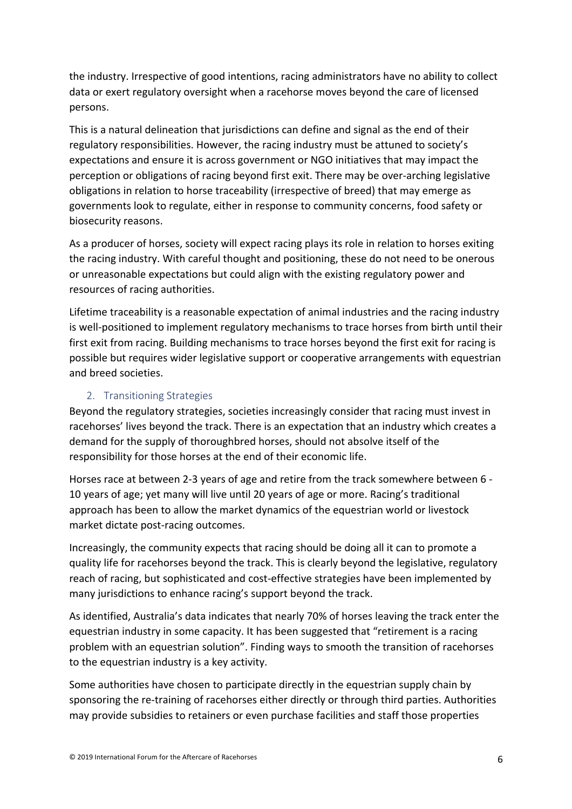the industry. Irrespective of good intentions, racing administrators have no ability to collect data or exert regulatory oversight when a racehorse moves beyond the care of licensed persons.

This is a natural delineation that jurisdictions can define and signal as the end of their regulatory responsibilities. However, the racing industry must be attuned to society's expectations and ensure it is across government or NGO initiatives that may impact the perception or obligations of racing beyond first exit. There may be over-arching legislative obligations in relation to horse traceability (irrespective of breed) that may emerge as governments look to regulate, either in response to community concerns, food safety or biosecurity reasons.

As a producer of horses, society will expect racing plays its role in relation to horses exiting the racing industry. With careful thought and positioning, these do not need to be onerous or unreasonable expectations but could align with the existing regulatory power and resources of racing authorities.

Lifetime traceability is a reasonable expectation of animal industries and the racing industry is well-positioned to implement regulatory mechanisms to trace horses from birth until their first exit from racing. Building mechanisms to trace horses beyond the first exit for racing is possible but requires wider legislative support or cooperative arrangements with equestrian and breed societies.

#### 2. Transitioning Strategies

Beyond the regulatory strategies, societies increasingly consider that racing must invest in racehorses' lives beyond the track. There is an expectation that an industry which creates a demand for the supply of thoroughbred horses, should not absolve itself of the responsibility for those horses at the end of their economic life.

Horses race at between 2-3 years of age and retire from the track somewhere between 6 - 10 years of age; yet many will live until 20 years of age or more. Racing's traditional approach has been to allow the market dynamics of the equestrian world or livestock market dictate post-racing outcomes.

Increasingly, the community expects that racing should be doing all it can to promote a quality life for racehorses beyond the track. This is clearly beyond the legislative, regulatory reach of racing, but sophisticated and cost-effective strategies have been implemented by many jurisdictions to enhance racing's support beyond the track.

As identified, Australia's data indicates that nearly 70% of horses leaving the track enter the equestrian industry in some capacity. It has been suggested that "retirement is a racing problem with an equestrian solution". Finding ways to smooth the transition of racehorses to the equestrian industry is a key activity.

Some authorities have chosen to participate directly in the equestrian supply chain by sponsoring the re-training of racehorses either directly or through third parties. Authorities may provide subsidies to retainers or even purchase facilities and staff those properties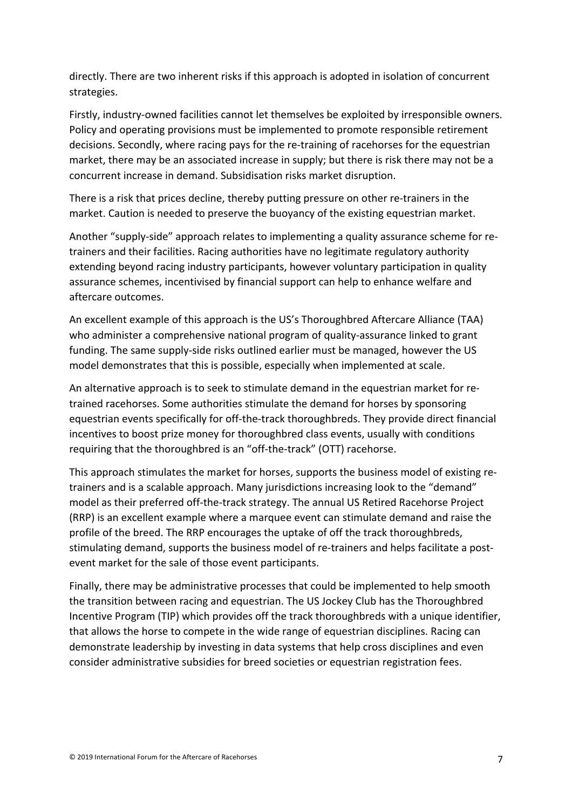directly. There are two inherent risks if this approach is adopted in isolation of concurrent strategies.

Firstly, industry-owned facilities cannot let themselves be exploited by irresponsible owners. Policy and operating provisions must be implemented to promote responsible retirement decisions. Secondly, where racing pays for the re-training of racehorses for the equestrian market, there may be an associated increase in supply; but there is risk there may not be a concurrent increase in demand. Subsidisation risks market disruption.

There is a risk that prices decline, thereby putting pressure on other re-trainers in the market. Caution is needed to preserve the buoyancy of the existing equestrian market.

Another "supply-side" approach relates to implementing a quality assurance scheme for retrainers and their facilities. Racing authorities have no legitimate regulatory authority extending beyond racing industry participants, however voluntary participation in quality assurance schemes, incentivised by financial support can help to enhance welfare and aftercare outcomes.

An excellent example of this approach is the US's Thoroughbred Aftercare Alliance (TAA) who administer a comprehensive national program of quality-assurance linked to grant funding. The same supply-side risks outlined earlier must be managed, however the US model demonstrates that this is possible, especially when implemented at scale.

An alternative approach is to seek to stimulate demand in the equestrian market for retrained racehorses. Some authorities stimulate the demand for horses by sponsoring equestrian events specifically for off-the-track thoroughbreds. They provide direct financial incentives to boost prize money for thoroughbred class events, usually with conditions requiring that the thoroughbred is an "off-the-track" (OTT) racehorse.

This approach stimulates the market for horses, supports the business model of existing retrainers and is a scalable approach. Many jurisdictions increasing look to the "demand" model as their preferred off-the-track strategy. The annual US Retired Racehorse Project (RRP) is an excellent example where a marquee event can stimulate demand and raise the profile of the breed. The RRP encourages the uptake of off the track thoroughbreds, stimulating demand, supports the business model of re-trainers and helps facilitate a postevent market for the sale of those event participants.

Finally, there may be administrative processes that could be implemented to help smooth the transition between racing and equestrian. The US Jockey Club has the Thoroughbred Incentive Program (TIP) which provides off the track thoroughbreds with a unique identifier, that allows the horse to compete in the wide range of equestrian disciplines. Racing can demonstrate leadership by investing in data systems that help cross disciplines and even consider administrative subsidies for breed societies or equestrian registration fees.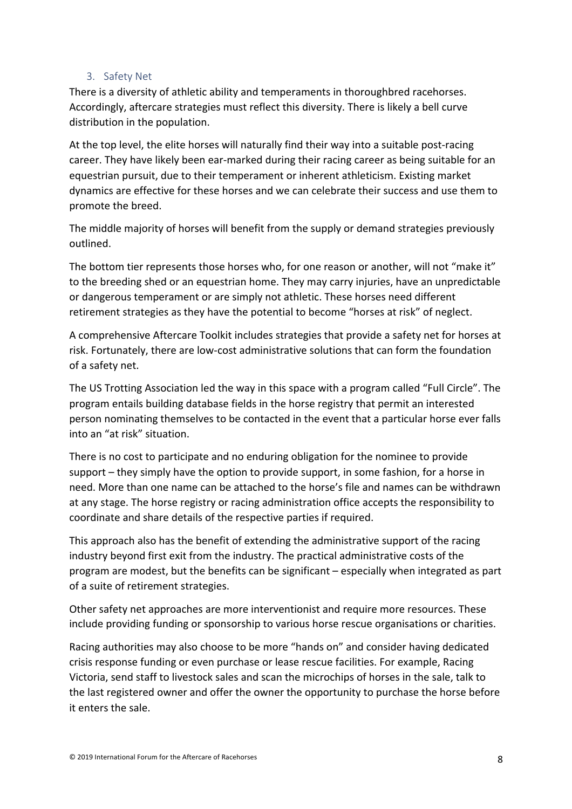#### 3. Safety Net

There is a diversity of athletic ability and temperaments in thoroughbred racehorses. Accordingly, aftercare strategies must reflect this diversity. There is likely a bell curve distribution in the population.

At the top level, the elite horses will naturally find their way into a suitable post-racing career. They have likely been ear-marked during their racing career as being suitable for an equestrian pursuit, due to their temperament or inherent athleticism. Existing market dynamics are effective for these horses and we can celebrate their success and use them to promote the breed.

The middle majority of horses will benefit from the supply or demand strategies previously outlined.

The bottom tier represents those horses who, for one reason or another, will not "make it" to the breeding shed or an equestrian home. They may carry injuries, have an unpredictable or dangerous temperament or are simply not athletic. These horses need different retirement strategies as they have the potential to become "horses at risk" of neglect.

A comprehensive Aftercare Toolkit includes strategies that provide a safety net for horses at risk. Fortunately, there are low-cost administrative solutions that can form the foundation of a safety net.

The US Trotting Association led the way in this space with a program called "Full Circle". The program entails building database fields in the horse registry that permit an interested person nominating themselves to be contacted in the event that a particular horse ever falls into an "at risk" situation.

There is no cost to participate and no enduring obligation for the nominee to provide support – they simply have the option to provide support, in some fashion, for a horse in need. More than one name can be attached to the horse's file and names can be withdrawn at any stage. The horse registry or racing administration office accepts the responsibility to coordinate and share details of the respective parties if required.

This approach also has the benefit of extending the administrative support of the racing industry beyond first exit from the industry. The practical administrative costs of the program are modest, but the benefits can be significant – especially when integrated as part of a suite of retirement strategies.

Other safety net approaches are more interventionist and require more resources. These include providing funding or sponsorship to various horse rescue organisations or charities.

Racing authorities may also choose to be more "hands on" and consider having dedicated crisis response funding or even purchase or lease rescue facilities. For example, Racing Victoria, send staff to livestock sales and scan the microchips of horses in the sale, talk to the last registered owner and offer the owner the opportunity to purchase the horse before it enters the sale.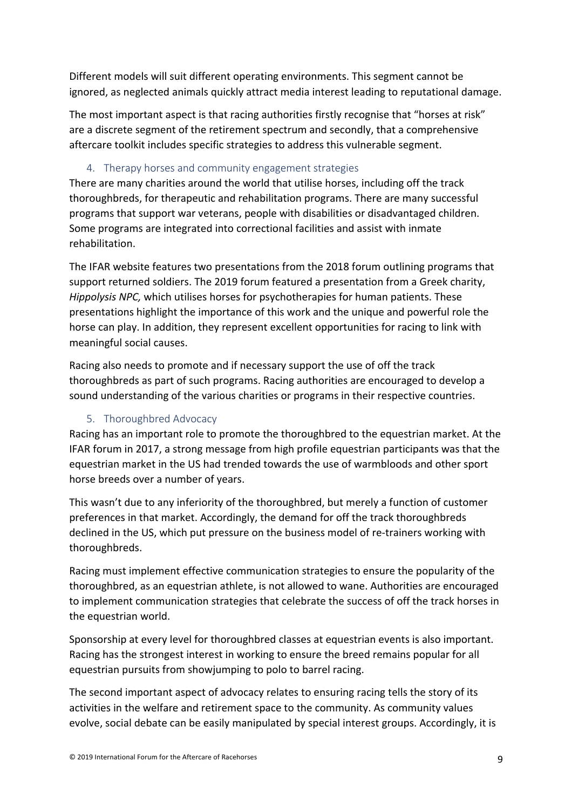Different models will suit different operating environments. This segment cannot be ignored, as neglected animals quickly attract media interest leading to reputational damage.

The most important aspect is that racing authorities firstly recognise that "horses at risk" are a discrete segment of the retirement spectrum and secondly, that a comprehensive aftercare toolkit includes specific strategies to address this vulnerable segment.

#### 4. Therapy horses and community engagement strategies

There are many charities around the world that utilise horses, including off the track thoroughbreds, for therapeutic and rehabilitation programs. There are many successful programs that support war veterans, people with disabilities or disadvantaged children. Some programs are integrated into correctional facilities and assist with inmate rehabilitation.

The IFAR website features two presentations from the 2018 forum outlining programs that support returned soldiers. The 2019 forum featured a presentation from a Greek charity, *Hippolysis NPC,* which utilises horses for psychotherapies for human patients. These presentations highlight the importance of this work and the unique and powerful role the horse can play. In addition, they represent excellent opportunities for racing to link with meaningful social causes.

Racing also needs to promote and if necessary support the use of off the track thoroughbreds as part of such programs. Racing authorities are encouraged to develop a sound understanding of the various charities or programs in their respective countries.

#### 5. Thoroughbred Advocacy

Racing has an important role to promote the thoroughbred to the equestrian market. At the IFAR forum in 2017, a strong message from high profile equestrian participants was that the equestrian market in the US had trended towards the use of warmbloods and other sport horse breeds over a number of years.

This wasn't due to any inferiority of the thoroughbred, but merely a function of customer preferences in that market. Accordingly, the demand for off the track thoroughbreds declined in the US, which put pressure on the business model of re-trainers working with thoroughbreds.

Racing must implement effective communication strategies to ensure the popularity of the thoroughbred, as an equestrian athlete, is not allowed to wane. Authorities are encouraged to implement communication strategies that celebrate the success of off the track horses in the equestrian world.

Sponsorship at every level for thoroughbred classes at equestrian events is also important. Racing has the strongest interest in working to ensure the breed remains popular for all equestrian pursuits from showjumping to polo to barrel racing.

The second important aspect of advocacy relates to ensuring racing tells the story of its activities in the welfare and retirement space to the community. As community values evolve, social debate can be easily manipulated by special interest groups. Accordingly, it is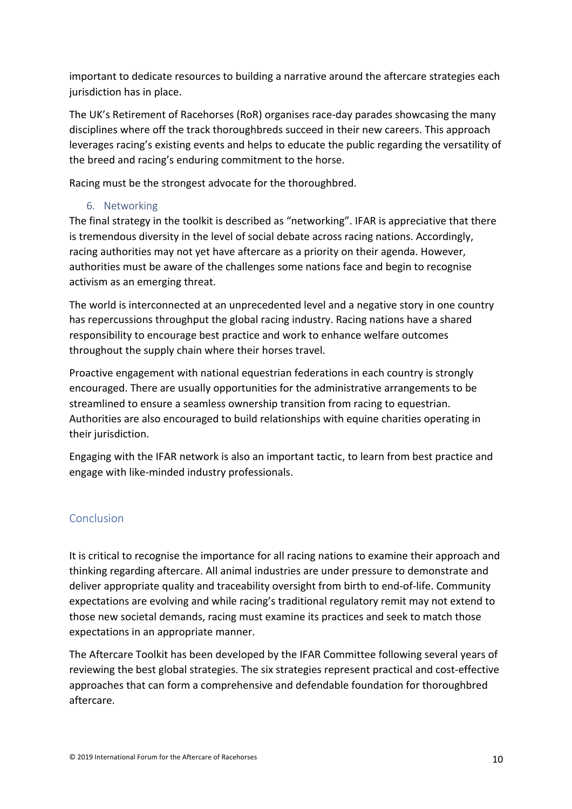important to dedicate resources to building a narrative around the aftercare strategies each jurisdiction has in place.

The UK's Retirement of Racehorses (RoR) organises race-day parades showcasing the many disciplines where off the track thoroughbreds succeed in their new careers. This approach leverages racing's existing events and helps to educate the public regarding the versatility of the breed and racing's enduring commitment to the horse.

Racing must be the strongest advocate for the thoroughbred.

6. Networking

The final strategy in the toolkit is described as "networking". IFAR is appreciative that there is tremendous diversity in the level of social debate across racing nations. Accordingly, racing authorities may not yet have aftercare as a priority on their agenda. However, authorities must be aware of the challenges some nations face and begin to recognise activism as an emerging threat.

The world is interconnected at an unprecedented level and a negative story in one country has repercussions throughput the global racing industry. Racing nations have a shared responsibility to encourage best practice and work to enhance welfare outcomes throughout the supply chain where their horses travel.

Proactive engagement with national equestrian federations in each country is strongly encouraged. There are usually opportunities for the administrative arrangements to be streamlined to ensure a seamless ownership transition from racing to equestrian. Authorities are also encouraged to build relationships with equine charities operating in their jurisdiction.

Engaging with the IFAR network is also an important tactic, to learn from best practice and engage with like-minded industry professionals.

#### Conclusion

It is critical to recognise the importance for all racing nations to examine their approach and thinking regarding aftercare. All animal industries are under pressure to demonstrate and deliver appropriate quality and traceability oversight from birth to end-of-life. Community expectations are evolving and while racing's traditional regulatory remit may not extend to those new societal demands, racing must examine its practices and seek to match those expectations in an appropriate manner.

The Aftercare Toolkit has been developed by the IFAR Committee following several years of reviewing the best global strategies. The six strategies represent practical and cost-effective approaches that can form a comprehensive and defendable foundation for thoroughbred aftercare.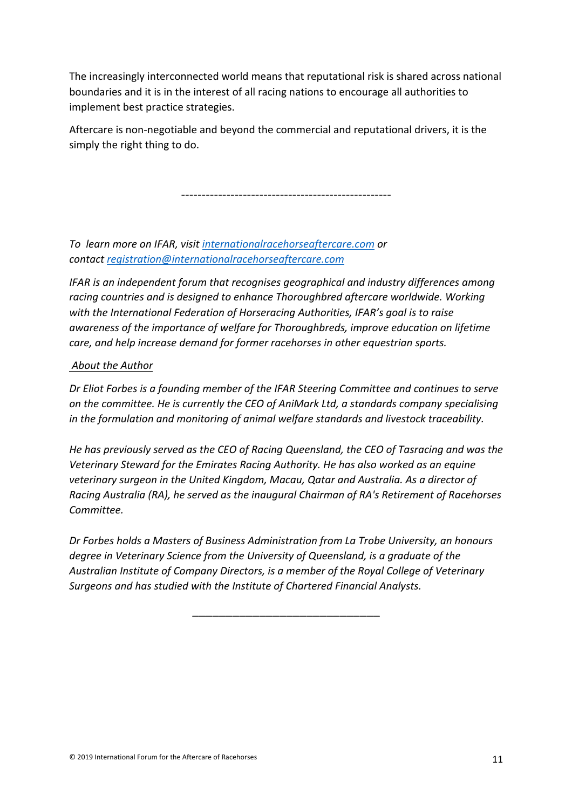The increasingly interconnected world means that reputational risk is shared across national boundaries and it is in the interest of all racing nations to encourage all authorities to implement best practice strategies.

Aftercare is non-negotiable and beyond the commercial and reputational drivers, it is the simply the right thing to do.

---------------------------------------------------

*To learn more on IFAR, visit internationalracehorseaftercare.com or contact registration@internationalracehorseaftercare.com*

*IFAR is an independent forum that recognises geographical and industry differences among racing countries and is designed to enhance Thoroughbred aftercare worldwide. Working with the International Federation of Horseracing Authorities, IFAR's goal is to raise awareness of the importance of welfare for Thoroughbreds, improve education on lifetime care, and help increase demand for former racehorses in other equestrian sports.*

#### *About the Author*

*Dr Eliot Forbes is a founding member of the IFAR Steering Committee and continues to serve on the committee. He is currently the CEO of AniMark Ltd, a standards company specialising in the formulation and monitoring of animal welfare standards and livestock traceability.*

*He has previously served as the CEO of Racing Queensland, the CEO of Tasracing and was the Veterinary Steward for the Emirates Racing Authority. He has also worked as an equine veterinary surgeon in the United Kingdom, Macau, Qatar and Australia. As a director of Racing Australia (RA), he served as the inaugural Chairman of RA's Retirement of Racehorses Committee.*

*Dr Forbes holds a Masters of Business Administration from La Trobe University, an honours degree in Veterinary Science from the University of Queensland, is a graduate of the Australian Institute of Company Directors, is a member of the Royal College of Veterinary Surgeons and has studied with the Institute of Chartered Financial Analysts.*

\_\_\_\_\_\_\_\_\_\_\_\_\_\_\_\_\_\_\_\_\_\_\_\_\_\_\_\_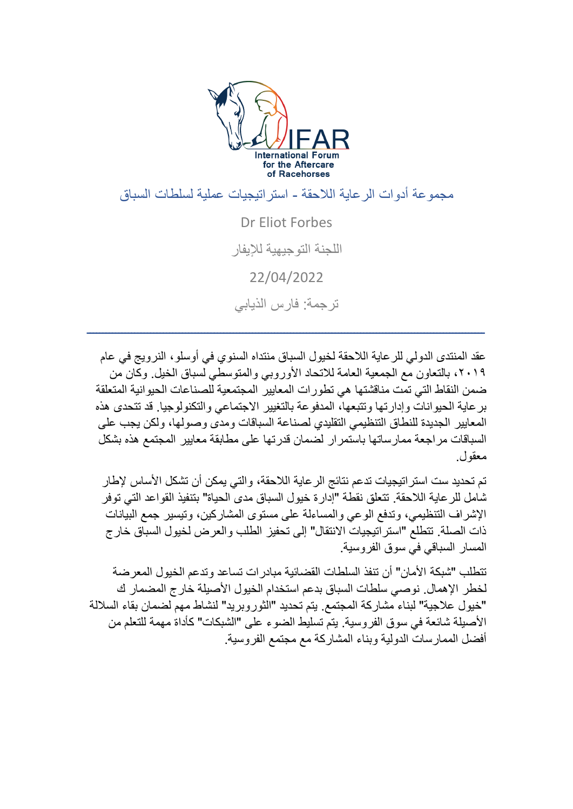

مجموعة أدوات الرعاية الالحقة - استراتيجيات عملية لسلطات السباق

Dr Eliot Forbes اللجنة التوجيهية لإليفار 22/04/2022 ترجمة: فارس الذيابي

ـــــــــــــــــــــــــــــــــــــــــــــــــــــــــــــــــــــــــــــــــــــــــــــــــــــــــــــــــــــــــــــ

عقد المنتدى الدولي للرعاية الالحقة لخيول السباق منتداه السنوي في أوسلو، النرويج في عام ،2019 بالتعاون مع الجمعية العامة لالتحاد األوروبي والمتوسطي لسباق الخيل. وكان من ضمن النقاط التي تمت مناقشتها هي تطورات المعايير المجتمعية للصناعات الحيوانية المتعلقة برعاية الحيوانات وإدارتها وتتبعها، المدفوعة بالتغيير االجتماعي والتكنولوجيا. قد تتحدى هذه المعايير الجديدة للنطاق التنظيمي التقليدي لصناعة السباقات ومدى وصولها، ولكن يجب على السباقات مراجعة ممارساتها باستمرار لضمان قدرتها على مطابقة معايير المجتمع هذه بشكل معقول.

تم تحديد ست استر اتيجيات تدعم نتائج الرعاية اللاحقة، والتي يمكن أن تشكل الأساس لإطار شامل للرعاية الالحقة. تتعلق نقطة "إدارة خيول السباق مدى الحياة" بتنفيذ القواعد التي توفر الإشراف التنظيمي، وتدفع الوعي والمساءلة على مستوى المشاركين، وتيسير جمع البيانات ذات الصلة. تتطلع "استر اتيجيات الانتقال" إلى تحفيز الطلب والعرض لخيول السباق خارج المسار السباقي في سوق الفروسية.

تتطلب "شبكة الأمان" أن تنفذ السلطات القضائية مبادرات تساعد وتدعم الخيول المعرضة لخطر اإلهمال. نوصي سلطات السباق بدعم استخدام الخيول األصيلة خارج المضمار ك "خيول عالجية" لبناء مشاركة المجتمع. يتم تحديد "الثوروبريد " لنشاط مهم لضمان بقاء الساللة األصيلة شائعة في سوق الفروسية. يتم تسليط الضوء على "الشبكات" كأداة مهمة للتعلم من أفضل الممارسات الدولية وبناء المشاركة مع مجتمع الفروسية.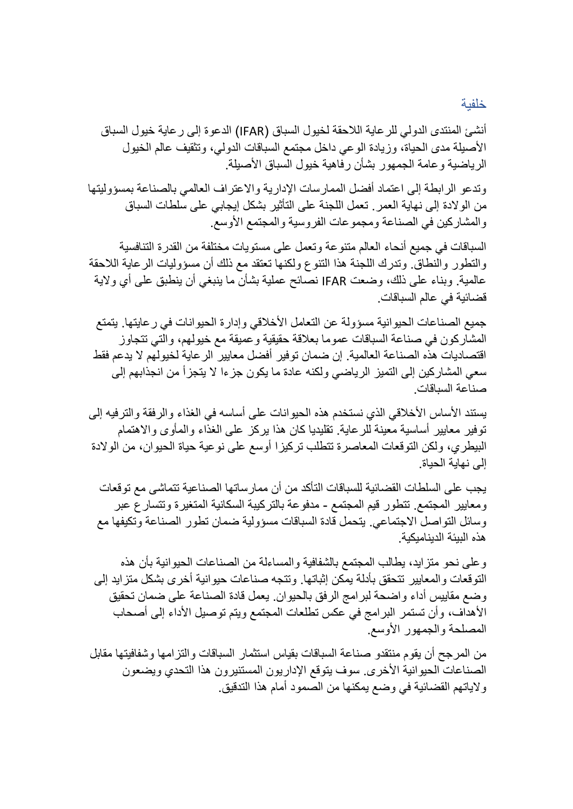#### خلفية

أنشئ المنتدى الدولي للرعاية الالحقة لخيول السباق )IFAR )الدعوة إلى رعاية خيول السباق األصيلة مدى الحياة، وزيادة الوعي داخل مجتمع السباقات الدولي، وتثقيف عالم الخيول الرياضية وعامة الجمهور بشأن رفاهية خيول السباق الأصيلة.

وتدعو الرابطة إلى اعتماد أفضل الممارسات اإلدارية واالعتراف العالمي بالصناعة بمسؤوليتها من الوالدة إلى نهاية العمر. تعمل اللجنة على التأثير بشكل إيجابي على سلطات السباق والمشاركين في الصناعة ومجموعات الفروسية والمجتمع األوسع.

السباقات في جميع أنحاء العالم متنوعة وتعمل على مستويات مختلفة من القدرة التنافسية والتطور والنطاق. وتدرك اللجنة هذا التنوع ولكنها تعتقد مع ذلك أن مسؤوليات الرعاية الالحقة عالمية. وبناء على ذلك، وضعت IFAR نصائح عملية بشأن ما ينبغي أن ينطبق على أي والية قضائية في عالم السباقات.

جميع الصناعات الحيوانية مسؤولة عن التعامل الأخلاقي وإدارة الحيوانات في رعايتها. يتمتع المشاركون في صناعة السباقات عموما بعالقة حقيقية وعميقة مع خيولهم، والتي تتجاوز اقتصاديات هذه الصناعة العالمية. إن ضمان توفير أفضل معايير الرعاية لخيولهم ال يدعم فقط سعي المشاركين إلى التميز الرياضي ولكنه عادة ما يكون جزءا ال يتجزأ من انجذابهم إلى صناعة السباقات.

يستند الأساس الأخلاقي الذي نستخدم هذه الحيوانات على أساسه في الغذاء والرفقة والترفيه إلى توفير معايير أساسية معينة للرعاية. تقليديا كان هذا يركز على الغذاء والمأوى واالهتمام البيطري، ولكن التوقعات المعاصرة تتطلب تركيزا أوسع على نوعية حياة الحيوان، من الوالدة إلى نهاية الحياة.

يجب على السلطات القضائية للسباقات التأكد من أن ممارساتها الصناعية تتماشى مع توقعات ومعايير المجتمع. تتطور قيم المجتمع - مدفوعة بالتركيبة السكانية المتغيرة وتتسارع عبر وسائل التواصل االجتماعي. يتحمل قادة السباقات مسؤولية ضمان تطور الصناعة وتكيفها مع هذه البيئة الديناميكية.

وعلى نحو متزايد، يطالب المجتمع بالشفافية والمساءلة من الصناعات الحيوانية بأن هذه التوقعات والمعايير تتحقق بأدلة يمكن إثباتها. وتتجه صناعات حيوانية أخرى بشكل متزايد إلى وضع مقاييس أداء واضحة لبرامج الرفق بالحيوان. يعمل قادة الصناعة على ضمان تحقيق األهداف، وأن تستمر البرامج في عكس تطلعات المجتمع ويتم توصيل األداء إلى أصحاب المصلحة والجمهور األوسع.

من المرجح أن يقوم منتقدو صناعة السباقات بقياس استثمار السباقات والتزامها وشفافيتها مقابل الصناعات الحيوانية الأخرى. سوف يتوقع الإداريون المستنيرون هذا التحدي ويضعون والياتهم القضائية في وضع يمكنها من الصمود أمام هذا التدقيق.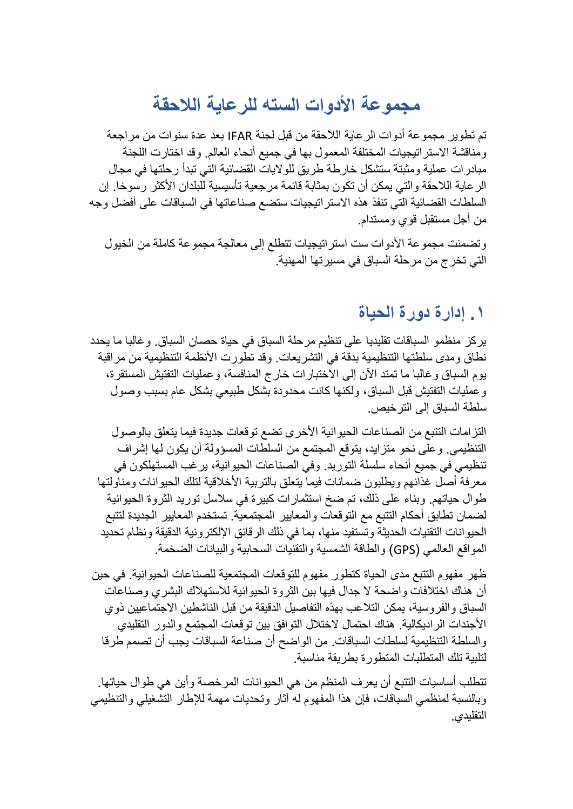# **مجموعة األدوات السته للرعاية الالحقة**

تم تطوير مجموعة أدوات الرعاية الالحقة من قبل لجنة IFAR بعد عدة سنوات من مراجعة ومناقشة الاستراتيجيات المختلفة المعمول بها في جميع أنحاء العالم. وقد اختارت اللجنة مبادرات عملية ومثبتة ستشكل خارطة طريق للواليات القضائية التي تبدأ رحلتها في مجال الرعاية الالحقة والتي يمكن أن تكون بمثابة قائمة مرجعية تأسيسية للبلدان األكثر رسوخا. إن السلطات القضائية التي تنفذ هذه االستراتيجيات ستضع صناعاتها في السباقات على أفضل وجه من أجل مستقبل قوي ومستدام.

وتضمنت مجموعة الأدوات ست استراتيجيات تتطلع إلى معالجة مجموعة كاملة من الخيول التي تخرج من مرحلة السباق في مسيرتها المهنية.

### **.1 إدارة دورة الحياة**

يركز منظمو السباقات تقليديا على تنظيم مرحلة السباق في حياة حصان السباق. وغالبا ما يحدد نطاق ومدى سلطتها التنظيمية بدقة في التشريعات. وقد تطورت الأنظمة التنظيمية من مراقبة يوم السباق وغالبا ما تمتد اآلن إلى االختبارات خارج المنافسة، وعمليات التفتيش المستقرة، وعمليات التفتيش قبل السباق، ولكنها كانت محدودة بشكل طبيعي بشكل عام بسبب وصول سلطة السباق إلى الترخيص.

التزامات التتبع من الصناعات الحيوانية األخرى تضع توقعات جديدة فيما يتعلق بالوصول التنظيمي. وعلى نحو متزايد، يتوقع المجتمع من السلطات المسؤولة أن يكون لها إشراف تنظيمي في جميع أنحاء سلسلة التوريد. وفي الصناعات الحيوانية، يرغب المستهلكون في معرفة أصل غذائهم ويطلبون ضمانات فيما يتعلق بالتربية الأخلاقية لتلك الحيوانات ومناولتها طوال حياتهم. وبناء على ذلك، تم ضخ استثمارات كبيرة في سلاسل توريد الثروة الحيوانية لضمان تطابق أحكام التتبع مع التوقعات والمعايير المجتمعية. تستخدم المعايير الجديدة لتتبع الحيوانات التقنيات الحديثة وتستفيد منها، بما في ذلك الرقائق اإللكترونية الدقيقة ونظام تحديد المواقع العالمي )GPS )والطاقة الشمسية والتقنيات السحابية والبيانات الضخمة.

ظهر مفهوم التتبع مدى الحياة كتطور مفهوم للتوقعات المجتمعية للصناعات الحيوانية. في حين أن هناك اختلافات واضحة لا جدال فيها بين الثروة الحيوانية للاستهلاك البشري وصناعات السباق والفروسية، يمكن التالعب بهذه التفاصيل الدقيقة من قبل الناشطين االجتماعيين ذوي األجندات الراديكالية. هناك احتمال الختالل التوافق بين توقعات المجتمع والدور التقليدي والسلطة التنظيمية لسلطات السباقات. من الواضح أن صناعة السباقات يجب أن تصمم طرقا لتلبية تلك المتطلبات المتطورة بطريقة مناسبة.

تتطلب أساسيات التتبع أن يعرف المنظم من هي الحيوانات المرخصة وأين هي طوال حياتها. وبالنسبة لمنظمي السباقات، فإن هذا المفهوم له آثار وتحديات مهمة لإلطار التشغيلي والتنظيمي التقليدي.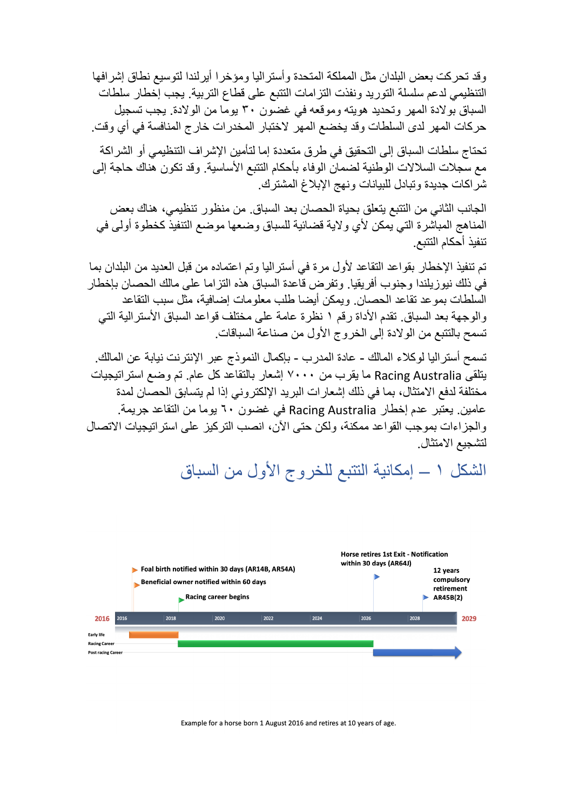وقد تحركت بعض البلدان مثل المملكة المتحدة وأستراليا ومؤخرا أيرلندا لتوسيع نطاق إشرافها التنظيمي لدعم سلسلة التوريد ونفذت التزامات التتبع على قطاع التربية. يجب إخطار سلطات السباق بوالدة المهر وتحديد هويته وموقعه في غضون 30 يوما من الوالدة. يجب تسجيل حركات المهر لدى السلطات وقد يخضع المهر الختبار المخدرات خارج المنافسة في أي وقت.

تحتاج سلطات السباق إلى التحقيق في طرق متعددة إما لتأمين اإلشراف التنظيمي أو الشراكة مع سجلات السلالات الوطنية لضمان الوفاء بأحكام التتبع الأساسية. وقد تكون هناك حاجة إلى شراكات جديدة وتبادل للبيانات ونهج اإلبالغ المشترك.

الجانب الثاني من التتبع يتعلق بحياة الحصان بعد السباق. من منظور تنظيمي، هناك بعض المناهج المباشرة التي يمكن لأي ولاية قضائية للسباق وضعها موضع التنفيذ كخطوة أولى في تنفيذ أحكام التتبع.

تم تنفيذ الإخطار بقواعد التقاعد لأول مرة في أستراليا وتم اعتماده من قبل العديد من البلدان بما في ذلك نيوزيلندا وجنوب أفريقيا. وتفرض قاعدة السباق هذه التزاما على مالك الحصان بإخطار السلطات بموعد تقاعد الحصان. ويمكن أيضا طلب معلومات إضافية، مثل سبب التقاعد والوجهة بعد السباق. تقدم الأداة رقم ١ نظرة عامة على مختلف قواعد السباق الأسترالية التي تسمح بالتتبع من الوالدة إلى الخروج األول من صناعة السباقات.

تسمح أستراليا لوكالء المالك - عادة المدرب - بإكمال النموذج عبر اإلنترنت نيابة عن المالك. يتلقى Australia Racing ما يقرب من 7000 إشعار بالتقاعد كل عام. تم وضع استراتيجيات مختلفة لدفع الامتثال، بما في ذلك إشعارات البريد الإلكتروني إذا لم يتسابق الحصان لمدة عامين. يعتبر عدم إخطار Australia Racing في غضون 60 يوما من التقاعد جريمة. والجزاءات بموجب القواعد ممكنة، ولكن حتى الآن، انصب التركيز على استر اتيجيات الاتصال لتشجيع االمتثال.

الشكل 1 – إمكانية التتبع للخروج األول من السباق



Example for a horse born 1 August 2016 and retires at 10 years of age.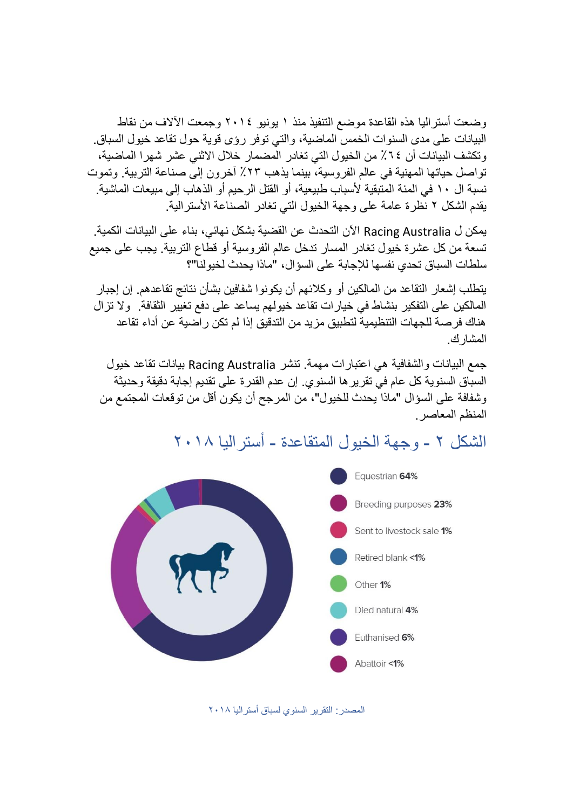وضعت أستراليا هذه القاعدة موضع التنفيذ منذ 1 يونيو 2014 وجمعت اآلالف من نقاط البيانات على مدى السنوات الخمس الماضية، والتي توفر رؤى قوية حول تقاعد خيول السباق. وتكشف البيانات أن ٦٤٪ من الخيول التي تغادر المضمار خلال الاثني عشر شهرا الماضية، تواصل حياتها المهنية في عالم الفروسية، بينما يذهب ٪23 آخرون إلى صناعة التربية. وتموت نسبة ال ١٠ في المئة المتبقية لأسباب طبيعية، أو القتل الرحيم أو الذهاب إلى مبيعات الماشية. يقدم الشكل 2 نظرة عامة على وجهة الخيول التي تغادر الصناعة األسترالية.

يمكن ل Australia Racing اآلن التحدث عن القضية بشكل نهائي، بناء على البيانات الكمية. تسعة من كل عشرة خيول تغادر المسار تدخل عالم الفروسية أو قطاع التربية. يجب على جميع سلطات السباق تحدي نفسها لإلجابة على السؤال، "ماذا يحدث لخيولنا"؟

يتطلب إشعار التقاعد من المالكين أو وكالئهم أن يكونوا شفافين بشأن نتائج تقاعدهم. إن إجبار المالكين على التفكير بنشاط في خيارات تقاعد خيولهم يساعد على دفع تغيير الثقافة. وال تزال هناك فرصة للجهات التنظيمية لتطبيق مزيد من التدقيق إذا لم تكن راضية عن أداء تقاعد المشارك.

جمع البيانات والشفافية هي اعتبارات مهمة. تنشر Australia Racing بيانات تقاعد خيول السباق السنوية كل عام في تقريرها السنوي. إن عدم القدرة على تقديم إجابة دقيقة وحديثة وشفافة على السؤال "ماذا يحدث للخيول "، من المرجح أن يكون أقل من توقعات المجتمع من المنظم المعاصر.



الشكل 2 - وجهة ا لخيول المتقاعدة - أستراليا 2018

المصدر: التقرير السنوي لسباق أستراليا 2018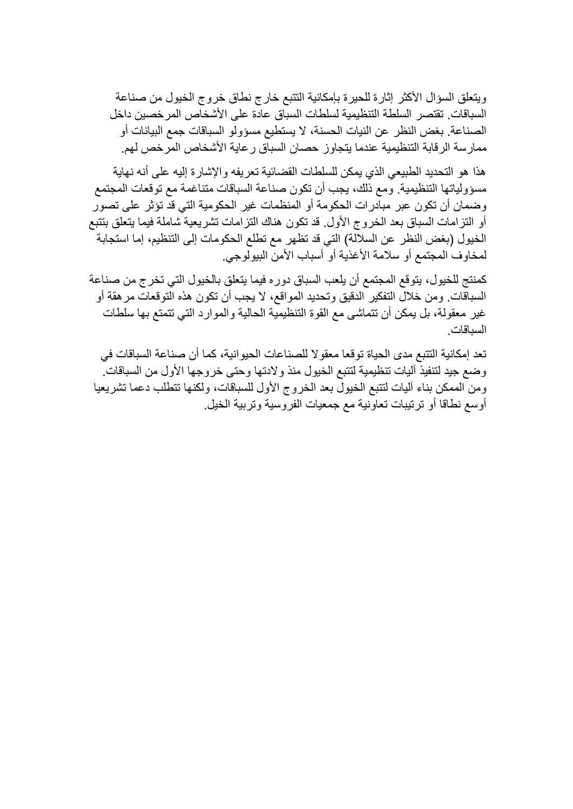ويتعلق السؤال األكثر إثارة للحيرة بإمكانية التتبع خارج نطاق خروج الخيول من صناعة السباقات. تقتصر السلطة التنظيمية لسلطات السباق عادة على األشخاص المرخصين داخل الصناعة. بغض النظر عن النيات الحسنة، ال يستطيع مسؤولو السباقات جمع البيانات أو ممارسة الرقابة التنظيمية عندما يتجاوز حصان السباق ر عاية الأشخاص المرخص لهم.

هذا هو التحديد الطبيعي الذي يمكن للسلطات القضائية تعريفه واإلشارة إليه على أنه نهاية مسؤولياتها التنظيمية. ومع ذلك، يجب أن تكون صناعة السباقات متناغمة مع توقعات المجتمع وضمان أن تكون عبر مبادرات الحكومة أو المنظمات غير الحكومية التي قد تؤثر على تصور أو التزامات السباق بعد الخروج الأول. قد تكون هناك التزامات تشريعية شاملة فيما يتعلق بتتبع الخيول (بغض النظر عن السلالة) التي قد تظهر مع تطلع الحكومات إلى التنظيم، إما استجابة لمخاوف المجتمع أو سلامة الأغذية أو أسباب الأمن البيولوجي.

كمنتج للخيول، يتوقع المجتمع أن يلعب السباق دوره فيما يتعلق بالخيول التي تخرج من صناعة السباقات. ومن خالل التفكير الدقيق وتحديد المواقع، ال يجب أن تكون هذه التوقعات مرهقة أو غير معقولة، بل يمكن أن تتماشى مع القوة التنظيمية الحالية والموارد التي تتمتع بها سلطات السباقات.

تعد إمكانية التتبع مدى الحياة توقعا معقوال للصناعات الحيوانية، كما أن صناعة السباقات في وضع جيد لتنفيذ آليات تنظيمية لتتبع الخيول منذ والدتها وحتى خروجها األول من السباقات. ومن الممكن بناء آليات لتتبع الخيول بعد الخروج األول للسباقات، ولكنها تتطلب دعما تشريعيا أوسع نطاقا أو ترتيبات تعاونية مع جمعيات الفروسية وتربية الخيل.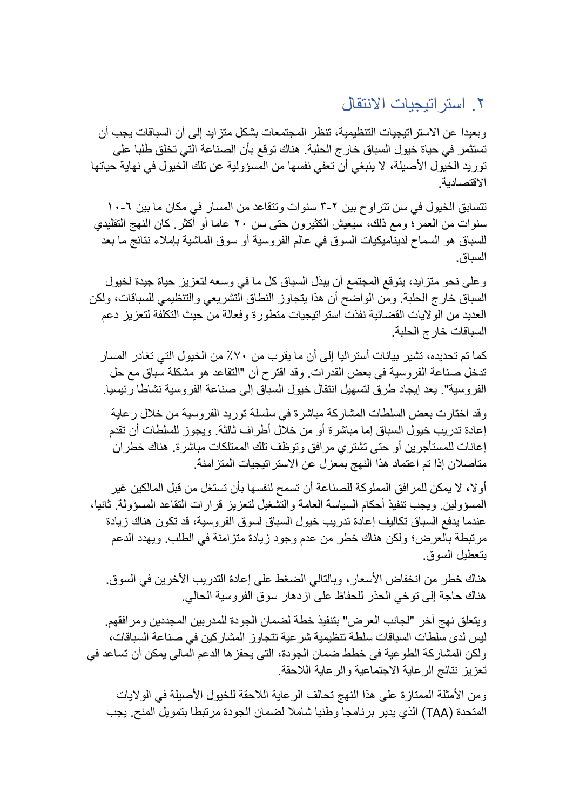### .2 استراتيجيات االنتقال

وبعيدا عن الاستر اتيجيات التنظيمية، تنظر المجتمعات بشكل متز ايد إلى أن السباقات يجب أن تستثمر في حياة خيول السباق خارج الحلبة. هناك توقع بأن الصناعة التي تخلق طلبا على توريد الخيول الأصيلة، لا ينبغي أن تعفي نفسها من المسؤولية عن تلك الخيول في نهاية حياتها االقتصادية.

تتسابق الخيول في سن تتراوح بين ٢-٣ سنوات وتتقاعد من المسار في مكان ما بين ٦-١٠ سنوات من العمر ؛ ومع ذلك، سيعيش الكثيرون حتى سن ٢٠ عاما أو أكثر <sub>.</sub> كان النهج التقليدي للسباق هو السماح لديناميكيات السوق في عالم الفروسية أو سوق الماشية بإمالء نتائج ما بعد السباق.

وعلى نحو متزايد، يتوقع المجتمع أن يبذل السباق كل ما في وسعه لتعزيز حياة جيدة لخيول السباق خارج الحلبة. ومن الواضح أن هذا يتجاوز النطاق التشريعي والتنظيمي للسباقات، ولكن العديد من الواليات القضائية نفذت استراتيجيات متطورة وفعالة من حيث التكلفة لتعزيز دعم السباقات خارج الحلبة.

كما تم تحديده، تشير بيانات أستراليا إلى أن ما يقرب من ٪70 من الخيول التي تغادر المسار تدخل صناعة الفروسية في بعض القدرات. وقد اقترح أن "التقاعد هو مشكلة سباق مع حل الفروسية". يعد إيجاد طرق لتسهيل انتقال خيول السباق إلى صناعة الفروسية نشاطا رئيسيا.

وقد اختارت بعض السلطات المشاركة مباشرة في سلسلة توريد الفروسية من خالل رعاية إعادة تدريب خيول السباق إما مباشرة أو من خالل أطراف ثالثة. ويجوز للسلطات أن تقدم إعانات للمستأجرين أو حتى تشتري مرافق وتوظف تلك الممتلكات مباشرة. هناك خطران متأصالن إذا تم اعتماد هذا النهج بمعزل عن االستراتيجيات المتزامنة.

أوال، ال يمكن للمرافق المملوكة للصناعة أن تسمح لنفسها بأن تستغل من قبل المالكين غير المسؤولين. ويجب تنفيذ أحكام السياسة العامة والتشغيل لتعزيز قرارات التقاعد المسؤولة. ثانيا، عندما يدفع السباق تكاليف إعادة تدريب خيول السباق لسوق الفر وسية، قد تكون هناك زيادة مرتبطة بالعرض؛ ولكن هناك خطر من عدم وجود زيادة متزامنة في الطلب. ويهدد الدعم بتعطيل السوق.

هناك خطر من انخفاض الأسعار، وبالتالي الضغط على إعادة التدريب الآخرين في السوق. هناك حاجة إلى توخي الحذر للحفاظ على ازدهار سوق الفروسية الحالي.

ويتعلق نهج آخر "لجانب العرض" بتنفيذ خطة لضمان الجودة للمدربين المجددين ومرافقهم. ليس لدى سلطات السباقات سلطة تنظيمية شرعية تتجاوز المشاركين في صناعة السباقات، ولكن المشاركة الطوعية في خطط ضمان الجودة، التي يحفزها الدعم المالي يمكن أن تساعد في تعزيز نتائج الرعاية الاجتماعية والرعاية اللاحقة.

ومن الأمثلة الممتازة على هذا النهج تحالف الرعاية اللاحقة للخيول الأصيلة في الولايات المتحدة )TAA )الذي يدير برنامجا وطنيا شامال لضمان الجودة مرتبطا بتمويل المنح. يجب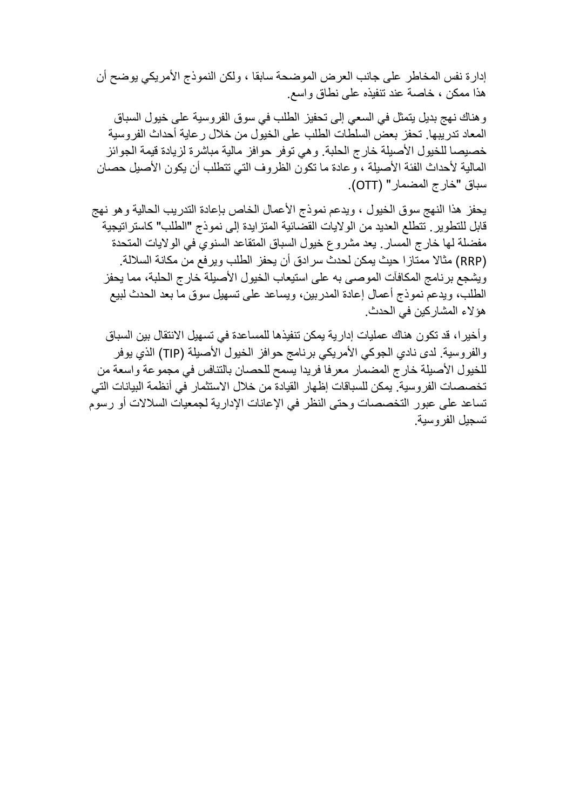إدارة نفس المخاطر على جانب العرض الموضحة سابقا ، ولكن النموذج األمريكي يوضح أن هذا ممكن ، خاصة عند تنفيذه على نطاق واسع.

وهناك نهج بديل يتمثل في السعي إلى تحفيز الطلب في سوق الفروسية على خيول السباق المعاد تدريبها. تحفز بعض السلطات الطلب على الخيول من خالل رعاية أحداث الفروسية خصيصا للخيول الأصيلة خارج الحلبة. وهي توفر حوافز مالية مباشرة لزيادة قيمة الجوائز المالية لأحداث الفئة الأصيلة ، وعادة ما تكون الظروف التي تتطلب أن يكون الأصيل حصان سباق "خارج المضمار" ) OTT).

يحفز هذا النهج سوق الخيول ، ويدعم نموذج األعمال الخاص بإعادة التدريب الحالية وهو نهج قابل للتطوير. تتطلع العديد من الواليات القضائية المتزايدة إلى نموذج "الطلب" كاستراتيجية مفضلة لها خارج المسار. يعد مشروع خيول السباق المتقاعد السنوي في الواليات المتحدة )RRP )مثاال ممتازا حيث يمكن لحدث سرادق أن يحفز الطلب ويرفع من مكانة الساللة. ويشجع برنامج المكافآت الموصى به على استيعاب الخيول األصيلة خارج الحلبة، مما يحفز الطلب، ويدعم نموذج أعمال إعادة المدربين، ويساعد على تسهيل سوق ما بعد الحدث لبيع هؤالء المشاركين في الحدث.

وأخيرا، قد تكون هناك عمليات إدارية يمكن تنفيذها للمساعدة في تسهيل االنتقال بين السباق والفروسية. لدى نادي الجوكي الأمريكي برنامج حوافز الخيول الأصبلة (TIP) الذي يوفر للخيول الأصيلة خارج المضمار معرفا فريدا يسمح للحصان بالتنافس في مجموعة واسعة من تخصصات الفروسية. يمكن للسباقات إظهار القيادة من خالل االستثمار في أنظمة البيانات التي تساعد على عبور التخصصات وحتى النظر في الإعانات الإدارية لجمعيات السلالات أو رسوم تسجيل الفروسية.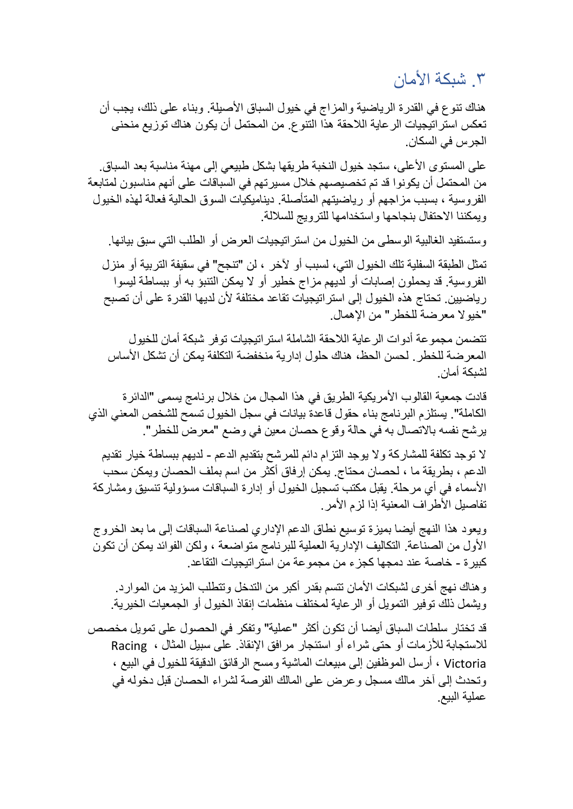## .3 شبكة األمان

هناك تنوع في القدرة الرياضية والمزاج في خيول السباق األصيلة. وبناء على ذلك، يجب أن تعكس استر اتيجيات الر عاية اللاحقة هذا التنوع. من المحتمل أن يكون هناك توزيع منحنى الجرس في السكان.

على المستوى الأعلى، ستجد خيول النخبة طريقها بشكل طبيعي إلى مهنة مناسبة بعد السباق. من المحتمل أن يكونوا قد تم تخصيصهم خالل مسيرتهم في السباقات على أنهم مناسبون لمتابعة الفروسية ، بسبب مزاجهم أو رياضيتهم المتأصلة. ديناميكيات السوق الحالية فعالة لهذه الخيول ويمكننا االحتفال بنجاحها واستخدامها للترويج للساللة.

وستستفيد الغالبية الوسطى من الخيول من استراتيجيات العرض أو الطلب التي سبق بيانها. تمثل الطبقة السفلية تلك الخيول التي، لسبب أو آلخر ، لن "تنجح" في سقيفة التربية أو منزل الفروسية. قد يحملون إصابات أو لديهم مزاج خطير أو ال يمكن التنبؤ به أو ببساطة ليسوا رياضيين. تحتاج هذه الخيول إلى استراتيجيات تقاعد مختلفة ألن لديها القدرة على أن تصبح "خيوال معرضة للخطر" من اإلهمال.

تتضمن مجموعة أدوات الرعاية الالحقة الشاملة استرا تيجيات توفر شبكة أمان للخيول المعرضة للخطر. لحسن الحظ، هناك حلول إدارية منخفضة التكلفة يمكن أن تشكل الأساس لشبكة أمان.

قادت جمعية القالوب الأمريكية الطريق في هذا المجال من خلال برنامج يسمى "الدائرة الكاملة". يستلزم البرنامج بناء حقول قاعدة بيانات في سجل الخيول تسمح للشخص المعني الذي يرشح نفسه باالتصال به في حالة وقوع حصان معين في وضع "معرض للخطر".

ال توجد تكلفة للمشاركة وال يوجد التزام دائم للمرشح بتقديم الدعم - لديهم ببساطة خيار تقديم الدعم ، بطريقة ما ، لحصان محتاج. يمكن إرفاق أكثر من اسم بملف الحصان ويمكن سحب األسماء في أي مرحلة. يقبل مكتب تسجيل الخيول أو إدارة السباقات مسؤولية تنسيق ومشاركة تفاصيل الأطراف المعنية إذا لزم الأمر .

ويعود هذا النهج أيضا بميزة توسيع نطاق الدعم اإلداري لصناعة السباقات إلى ما بعد الخروج األول من الصناعة. التكاليف اإلدارية العملية للبرنامج متواضعة ، ولكن الفوائد يمكن أن تكون كبيرة - خاصة عند دمجها كجزء من مجموعة من استراتيجيات التقاعد.

وهناك نهج أخرى لشبكات األمان تتسم بقدر أكبر من التدخل وتتطلب المزيد من الموارد. ويشمل ذلك توفير التمويل أو الرعاية لمختلف منظمات إنقاذ الخيول أو الجمعيات الخيرية.

قد تختار سلطات السباق أيضا أن تكون أكثر "عملية" وتفكر في الحصول على تمويل مخصص لالستجابة لألزمات أو حتى شراء أو استئجار مرافق اإلنقاذ. على سبيل المثال ، Racing Victoria ، أرسل الموظفين إلى مبيعات الماشية ومسح الرقائق الدقيقة للخيول في البيع ، وتحدث إلى آخر مالك مسجل وعرض على المالك الفرصة لشراء الحصان قبل دخوله في عملية البيع.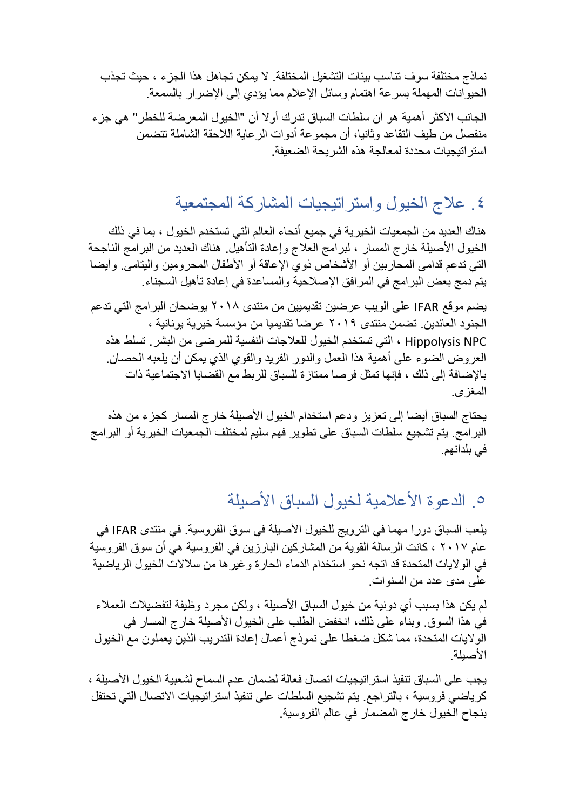نماذج مختلفة سوف تناسب بيئات التشغيل المختلفة. لا يمكن تجاهل هذا الجزء ، حيث تجذب الحيوانات المهملة بسرعة اهتمام وسائل اإلعالم مما يؤدي إلى اإلضرار بالسمعة.

الجانب الأكثر أهمية هو أن سلطات السباق تدرك أولا أن "الخيول المعرضة للخطر " هي جزء منفصل من طيف التقاعد وثانيا، أن مجم وعة أدوات الرعاية الالحقة الشاملة تتضمن استراتيجيات محددة لمعالجة هذه الشريحة الضعيفة.

# .4 عالج الخيول واستراتيجيات المشاركة المجتمعية

هناك العديد من الجمعيات الخيرية في جميع أنحاء العالم التي تستخدم الخيول ، بما في ذلك الخيول الأصيلة خارج المسار ، لبرامج العلاج وإعادة التأهيل هناك العديد من البرامج الناجحة التي تدعم قدامى المحاربين أو الأشخاص ذوي الإعاقة أو الأطفال المحرومين واليتامى. وأيضا يتم دمج بعض البرامج في المرافق اإلصالحية والمساعدة في إعادة تأهيل السجناء.

يضم موقع IFAR على الويب عرضين تقديميين من منتدى 2018 يوضحان البرامج التي تدعم الجنود العائدين. تضمن منتدى 2019 عرضا تقديميا من مؤسسة خيرية يونانية ، NPC Hippolysis ، التي تستخدم الخيول للعالجات النفسية للمرضى من البشر. تسلط هذه العروض الضوء على أهمية هذا العمل والدور الفريد والقوي الذي يمكن أن يلعبه الحصان. باإلضافة إلى ذلك ، فإنها تمثل فرصا ممتازة للسباق للربط مع القضايا االجتماعية ذات المغزى.

يحتاج السباق أيضا إلى تعزيز ودعم استخدام الخيول األصيلة خارج المسار كجزء من هذه البرامج. يتم تشجيع سلطات السباق على تطوير فهم سليم لمختلف الجمعيات الخيرية أو البرامج في بلدانهم.

# 0\_ الدعوة الأعلامية لخيول السباق الأصبلة

يلعب السباق دورا مهما في الترويج للخيول األصيلة في سوق الفروسية. في منتدى IFAR في عام 2017 ، كانت الرسالة القوية من المشاركين البارزين في الفروسية هي أن سوق الفروسية في الواليات المتحدة قد اتجه نحو استخدام الدماء الحارة وغيرها من سالالت الخيول الرياضية على مدى عدد من السنوات.

لم يكن هذا بسبب أي دونية من خيول السباق الأصيلة ، ولكن مجر د وظيفة لتفضيلات العملاء في هذا السوق. وبناء على ذلك، انخفض الطلب على الخيول األصيلة خارج المسار في الواليات المتحدة، مما شكل ضغطا على نموذج أعمال إعادة التدريب الذين يعملون مع الخيول األصيلة.

يجب على السباق تنفيذ استراتيجيات اتصال فعالة لضمان عدم السماح لشعبية الخيول األصيلة ، كرياضي فروسية ، بالتراجع. يتم تشجيع السلطات على تنفيذ استراتيجيات االتصال التي تحتفل بنجاح الخيول خارج المضمار في عالم الفروسية.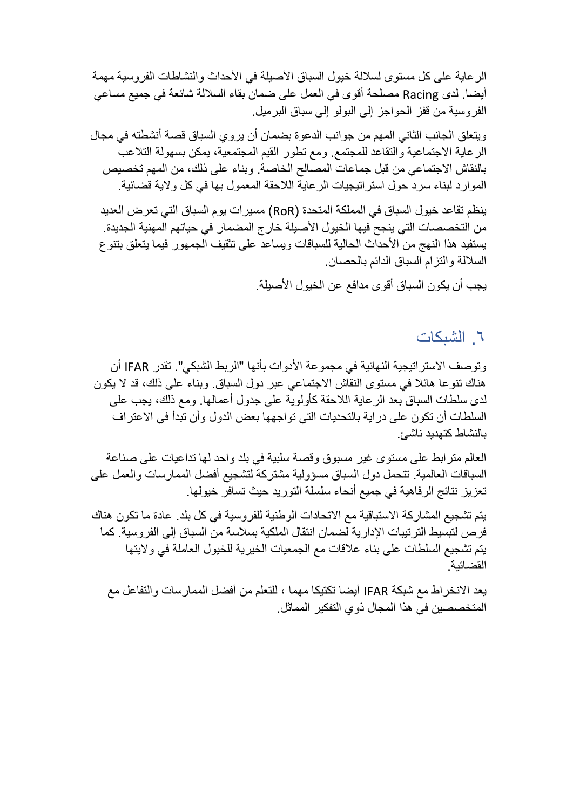الرعاية على كل مستوى لسلالة خيول السباق الأصبلة في الأحداث والنشاطات الفروسية مهمة أيضا. لدى Racing مصلحة أقوى في العمل على ضمان بقاء الساللة شائعة في جميع مساعي الفروسية من قفز الحواجز إلى البولو إلى سباق البرميل.

ويتعلق الجانب الثاني المهم من جوانب الدعوة بضمان أن يروي السباق قصة أنشطته في مجال الرعاية االجتماعية والتقاعد للمجتمع. ومع تطور القيم المجتمعية، يمكن بسهولة التالعب بالنقاش االجتماعي من قبل جماعات المصالح الخاصة. وبناء على ذلك، من المهم تخصيص الموارد لبناء سرد حول استراتيجيات الرعاية الالحقة المعمول بها في كل والية قضائية.

ينظم تقاعد خيول السباق في المملكة المتحدة ) RoR )مسيرات يوم السباق التي تعرض العديد من التخصصات التي ينجح فيها الخيول الأصبلة خارج المضمار في حياتهم المهنية الجديدة. يستفيد هذا النهج من الأحداث الحالية للسباقات ويساعد على تثقيف الجمهور فيما يتعلق بتنوع الساللة والتزام السباق الدائم بالحصان.

يجب أن يكون السباق أقوى مدافع عن الخيول األصيلة.

.6 الشبكات

وتوصف الاستراتيجية النهائية في مجموعة الأدوات بأنها "الربط الشبكي". تقدر IFAR أن هناك تنوعا هائال في مستوى النقاش االجتماعي عبر دول السباق. وبناء على ذلك، قد ال يكون لدى سلطات السباق بعد الرعاية الالحقة كأولوية على جدول أعمالها. ومع ذلك، يجب على السلطات أن تكون على دراية بالتحديات التي تواجهها بعض الدول وأن تبدأ في االعتراف بالنشاط كتهديد ناشئ.

العالم مترابط على مستوى غير مسبوق وقصة سلبية في بلد واحد لها تداعيات على صناعة السباقات العالمية. تتحمل دول السباق مسؤولية مشتركة لتشجيع أفضل الممارسات والعمل على تعزيز نتائج الرفاهية في جميع أنحاء سلسلة التوريد حيث تسافر خيولها.

يتم تشجيع المشاركة االستباقية مع االتحادات الوطنية للفروسية في كل بلد. عادة ما تكون هناك فرص لتبسيط الترتيبات اإلدارية لضمان انتقال الملكية بسالسة من السباق إلى الفروسية. كما يتم تشجيع السلطات على بناء عالقات مع الجمعيات الخيرية للخيول العاملة في واليتها القضائية.

يعد االنخراط مع شبكة IFAR أيضا تكتيكا مهما ، للتعلم من أفضل الممارسات والتفاعل مع المتخصصين في هذا المجال ذوي التفكير المماثل.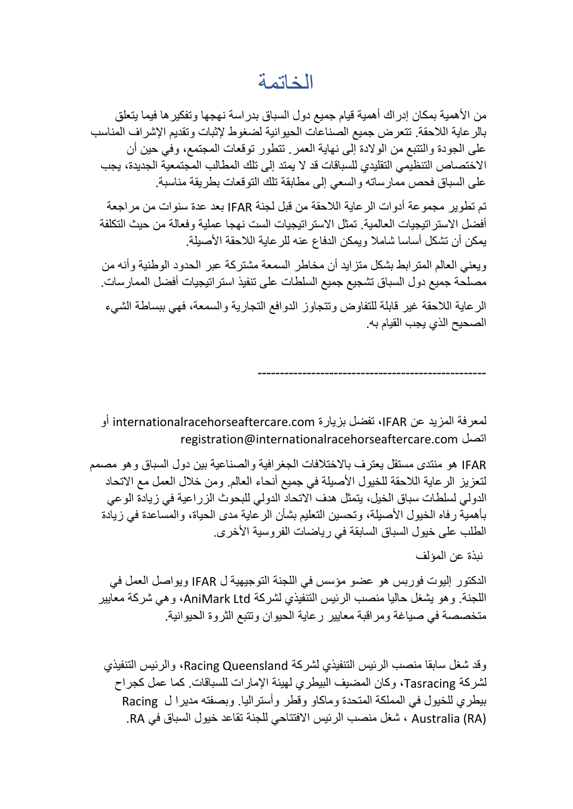### الخاتمة

من الأهمية بمكان إدراك أهمية قيام جميع دول السباق بدر اسة نهجها وتفكير ها فيما يتعلق بالرعاية الالحقة. تتعرض جميع الصناعات الحيوانية لضغوط إلثبات وتقديم اإلشراف المناسب على الجودة والتتبع من الوالدة إلى نهاية العمر. تتطور توقعات المجتمع، وفي حين أن االختصاص التنظيمي التقليدي للسباقات قد ال يمتد إلى تلك المطالب المجتمعية الجديدة، يجب على السباق فحص ممارساته والسعي إلى مطابقة تلك التوقعات بطريقة مناسبة.

تم تطوير مجموعة أدوات الرعاية الالحقة من قبل لجنة IFAR بعد عدة سنوات من مراجعة أفضل الاستر اتيجيات العالمية. تمثل الاستر اتيجيات الست نهجا عملية و فعالة من حيث التكلفة يمكن أن تشكل أساسا شامال ويمكن الدفاع عنه للرعاية الالحقة األصيلة.

ويعني العالم المترابط بشكل متزايد أن مخاطر السمعة مشتركة عبر الحدود الوطنية وأنه من مصلحة جميع دول السباق تشجيع جميع السلطات على تنفيذ استراتيجيات أفضل الممارسات.

الرعاية الالحقة غير قابلة للتفاوض وتتجاوز الدوافع التجارية والسمعة، فهي ببساطة الشيء الصحيح الذي يجب القيام به.

---------------------------------------------------

لمعرفة المزيد عن IFAR، تفضل بزيارة com.internationalracehorseaftercare أو registration@internationalracehorseaftercare.com اتصل

IFAR هو منتدى مستقل يعترف باالختالفات الجغرافية والصناعية بين دول السباق وهو مصمم لتعزيز الرعاية اللاحقة للخيول الأصبلة في جميع أنحاء العالم. ومن خلال العمل مع الاتحاد الدولي لسلطات سباق الخيل، يتمثل هدف االتحاد الدولي للبحوث الزراعية في زيادة الوعي بأهمية رفاه الخيول األصيلة، وتحسين التعليم بشأن الرعاية مدى الحياة، والمساعدة في زيادة الطلب على خيول السباق السابقة في رياضات الفروسية الأخرى.

نبذة عن المؤلف

الدكتور إليوت فوربس هو عضو مؤسس في اللجنة التوجيهية ل IFAR ويواصل العمل في اللجنة. وهو يشغل حاليا منصب الرئيس التنفيذي لشركة Ltd AniMark، وهي شركة معايير متخصصة في صياغة ومراقبة معايير رعاية الحيوان وتتبع الثروة الحيوانية.

وقد شغل سابقا منصب الرئيس التنفيذي لشركة Queensland Racing، والرئيس التنفيذي لشركة Tasracing، وكان المضيف البيطري لهيئة اإلمارات للسباقات. كما عمل كجراح بيطري للخيول في المملكة المتحدة وماكاو وقطر وأستراليا. وبصفته مديرا ل Racing (RA (Australia ، شغل منصب الرئيس االفتتاحي للجنة تقاعد خيول السباق في RA.